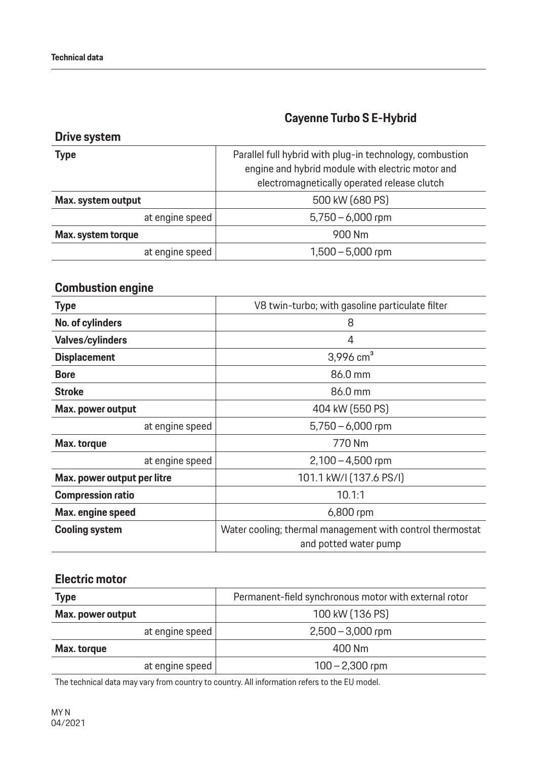## **Cayenne Turbo S E-Hybrid**

### **Drive system**

| <b>Type</b>        | Parallel full hybrid with plug-in technology, combustion<br>engine and hybrid module with electric motor and<br>electromagnetically operated release clutch |
|--------------------|-------------------------------------------------------------------------------------------------------------------------------------------------------------|
| Max. system output | 500 kW (680 PS)                                                                                                                                             |
| at engine speed    | $5,750 - 6,000$ rpm                                                                                                                                         |
| Max. system torque | 900 Nm                                                                                                                                                      |
| at engine speed    | $1,500 - 5,000$ rpm                                                                                                                                         |

## **Combustion engine**

| <b>Type</b>                 | V8 twin-turbo; with gasoline particulate filter                                    |
|-----------------------------|------------------------------------------------------------------------------------|
| No. of cylinders            | 8                                                                                  |
| <b>Valves/cylinders</b>     | 4                                                                                  |
| <b>Displacement</b>         | 3,996 $cm3$                                                                        |
| <b>Bore</b>                 | 86.0 mm                                                                            |
| <b>Stroke</b>               | 86.0 mm                                                                            |
| Max. power output           | 404 kW (550 PS)                                                                    |
| at engine speed             | $5,750 - 6,000$ rpm                                                                |
| Max. torque                 | 770 Nm                                                                             |
| at engine speed             | $2,100 - 4,500$ rpm                                                                |
| Max. power output per litre | 101.1 kW/I (137.6 PS/I)                                                            |
| <b>Compression ratio</b>    | 10.1:1                                                                             |
| Max. engine speed           | $6,800$ rpm                                                                        |
| <b>Cooling system</b>       | Water cooling; thermal management with control thermostat<br>and potted water pump |

### **Electric motor**

| <b>Type</b>       | Permanent-field synchronous motor with external rotor |
|-------------------|-------------------------------------------------------|
| Max. power output | 100 kW (136 PS)                                       |
| at engine speed   | $2,500 - 3,000$ rpm                                   |
| Max. torque       | 400 Nm                                                |
| at engine speed   | $100 - 2,300$ rpm                                     |

The technical data may vary from country to country. All information refers to the EU model.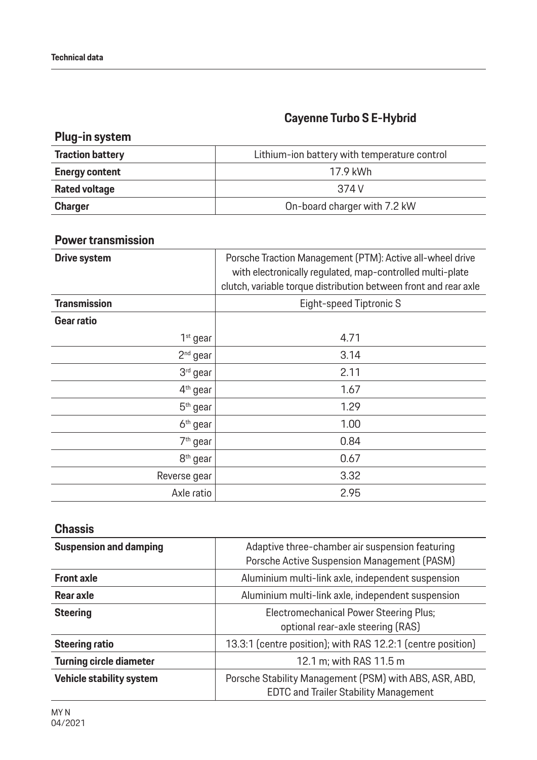# **Cayenne Turbo S E-Hybrid**

## **Plug-in system**

| <b>Traction battery</b> | Lithium-ion battery with temperature control |
|-------------------------|----------------------------------------------|
| <b>Energy content</b>   | 17.9 kWh                                     |
| <b>Rated voltage</b>    | 374 V                                        |
| <b>Charger</b>          | On-board charger with 7.2 kW                 |

### **Power transmission**

| <b>Drive system</b>  | Porsche Traction Management (PTM): Active all-wheel drive<br>with electronically regulated, map-controlled multi-plate<br>clutch, variable torque distribution between front and rear axle |
|----------------------|--------------------------------------------------------------------------------------------------------------------------------------------------------------------------------------------|
| <b>Transmission</b>  | Eight-speed Tiptronic S                                                                                                                                                                    |
| Gear ratio           |                                                                                                                                                                                            |
| $1st$ gear           | 4.71                                                                                                                                                                                       |
| $2nd$ gear           | 3.14                                                                                                                                                                                       |
| 3rd gear             | 2.11                                                                                                                                                                                       |
| 4 <sup>th</sup> gear | 1.67                                                                                                                                                                                       |
| $5th$ gear           | 1.29                                                                                                                                                                                       |
| 6 <sup>th</sup> gear | 1.00                                                                                                                                                                                       |
| 7 <sup>th</sup> gear | 0.84                                                                                                                                                                                       |
| 8 <sup>th</sup> gear | 0.67                                                                                                                                                                                       |
| Reverse gear         | 3.32                                                                                                                                                                                       |
| Axle ratio           | 2.95                                                                                                                                                                                       |

### **Chassis**

| <b>Suspension and damping</b>  | Adaptive three-chamber air suspension featuring<br>Porsche Active Suspension Management (PASM)         |
|--------------------------------|--------------------------------------------------------------------------------------------------------|
| <b>Front axle</b>              | Aluminium multi-link axle, independent suspension                                                      |
| Rear axle                      | Aluminium multi-link axle, independent suspension                                                      |
| <b>Steering</b>                | <b>Electromechanical Power Steering Plus;</b><br>optional rear-axle steering (RAS)                     |
| <b>Steering ratio</b>          | 13.3:1 (centre position); with RAS 12.2:1 (centre position)                                            |
| <b>Turning circle diameter</b> | 12.1 m; with RAS 11.5 m                                                                                |
| Vehicle stability system       | Porsche Stability Management (PSM) with ABS, ASR, ABD,<br><b>EDTC and Trailer Stability Management</b> |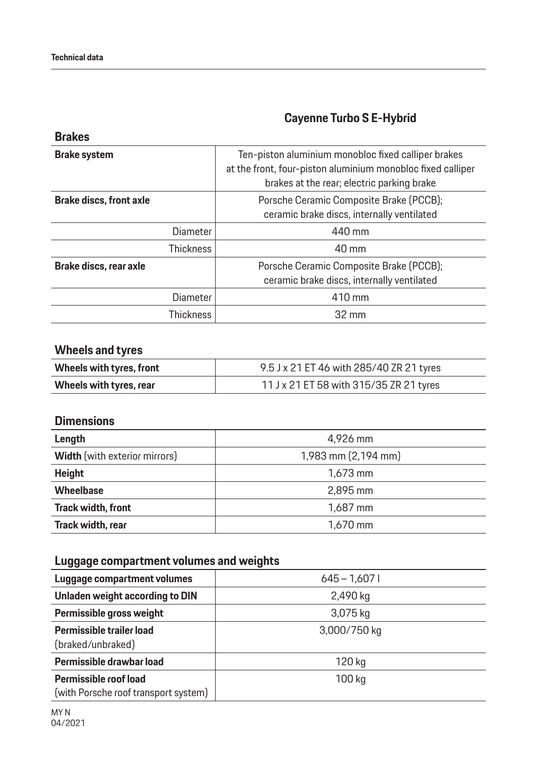**Brakes**

# **Cayenne Turbo S E-Hybrid**

| Ten-piston aluminium monobloc fixed calliper brakes<br>at the front, four-piston aluminium monobloc fixed calliper<br>brakes at the rear; electric parking brake |
|------------------------------------------------------------------------------------------------------------------------------------------------------------------|
| Porsche Ceramic Composite Brake (PCCB);<br>ceramic brake discs, internally ventilated                                                                            |
| 440 mm                                                                                                                                                           |
| 40 mm                                                                                                                                                            |
| Porsche Ceramic Composite Brake (PCCB);<br>ceramic brake discs, internally ventilated                                                                            |
| 410 mm                                                                                                                                                           |
| $32 \text{ mm}$                                                                                                                                                  |
|                                                                                                                                                                  |

### **Wheels and tyres**

| Wheels with tyres, front | 9.5 J x 21 ET 46 with 285/40 ZR 21 tyres |
|--------------------------|------------------------------------------|
| Wheels with tyres, rear  | 11 J x 21 ET 58 with 315/35 ZR 21 tyres  |

### **Dimensions**

| Length                               | 4,926 mm            |
|--------------------------------------|---------------------|
| <b>Width</b> (with exterior mirrors) | 1,983 mm (2,194 mm) |
| <b>Height</b>                        | $1,673$ mm          |
| <b>Wheelbase</b>                     | 2,895 mm            |
| <b>Track width, front</b>            | 1,687 mm            |
| Track width, rear                    | $1,670$ mm          |

## **Luggage compartment volumes and weights**

| Luggage compartment volumes                                   | $645 - 1,6071$ |
|---------------------------------------------------------------|----------------|
| Unladen weight according to DIN                               | 2,490 kg       |
| Permissible gross weight                                      | 3,075 kg       |
| Permissible trailer load<br>(braked/unbraked)                 | 3,000/750 kg   |
| Permissible drawbar load                                      | 120 kg         |
| Permissible roof load<br>(with Porsche roof transport system) | 100 kg         |